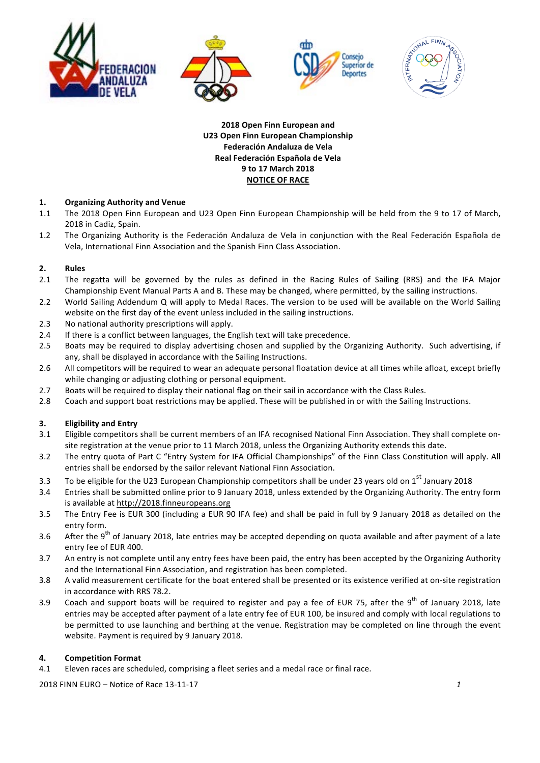

**2018 Open Finn European and U23 Open Finn European Championship Federación Andaluza de Vela Real Federación Española de Vela 9 to 17 March 2018 NOTICE OF RACE** 

# 1. **Organizing Authority and Venue**

- 1.1 The 2018 Open Finn European and U23 Open Finn European Championship will be held from the 9 to 17 of March, 2018 in Cadiz, Spain.
- 1.2 The Organizing Authority is the Federación Andaluza de Vela in conjunction with the Real Federación Española de Vela, International Finn Association and the Spanish Finn Class Association.

# **2. Rules**

- 2.1 The regatta will be governed by the rules as defined in the Racing Rules of Sailing (RRS) and the IFA Major Championship Event Manual Parts A and B. These may be changed, where permitted, by the sailing instructions.
- 2.2 World Sailing Addendum Q will apply to Medal Races. The version to be used will be available on the World Sailing website on the first day of the event unless included in the sailing instructions.
- 2.3 No national authority prescriptions will apply.
- 2.4 If there is a conflict between languages, the English text will take precedence.
- 2.5 Boats may be required to display advertising chosen and supplied by the Organizing Authority. Such advertising, if any, shall be displayed in accordance with the Sailing Instructions.
- 2.6 All competitors will be required to wear an adequate personal floatation device at all times while afloat, except briefly while changing or adjusting clothing or personal equipment.
- 2.7 Boats will be required to display their national flag on their sail in accordance with the Class Rules.
- 2.8 Coach and support boat restrictions may be applied. These will be published in or with the Sailing Instructions.

### **3. Eligibility** and Entry

- 3.1 Eligible competitors shall be current members of an IFA recognised National Finn Association. They shall complete onsite registration at the venue prior to 11 March 2018, unless the Organizing Authority extends this date.
- 3.2 The entry quota of Part C "Entry System for IFA Official Championships" of the Finn Class Constitution will apply. All entries shall be endorsed by the sailor relevant National Finn Association.
- 3.3 To be eligible for the U23 European Championship competitors shall be under 23 years old on  $1^{st}$  January 2018
- 3.4 Entries shall be submitted online prior to 9 January 2018, unless extended by the Organizing Authority. The entry form is available at http://2018.finneuropeans.org
- 3.5 The Entry Fee is EUR 300 (including a EUR 90 IFA fee) and shall be paid in full by 9 January 2018 as detailed on the entry form.
- 3.6 After the 9<sup>th</sup> of January 2018, late entries may be accepted depending on quota available and after payment of a late entry fee of EUR 400.
- 3.7 An entry is not complete until any entry fees have been paid, the entry has been accepted by the Organizing Authority and the International Finn Association, and registration has been completed.
- 3.8 A valid measurement certificate for the boat entered shall be presented or its existence verified at on-site registration in accordance with RRS 78.2.
- 3.9 Coach and support boats will be required to register and pay a fee of EUR 75, after the  $9^{th}$  of January 2018, late entries may be accepted after payment of a late entry fee of EUR 100, be insured and comply with local regulations to be permitted to use launching and berthing at the venue. Registration may be completed on line through the event website. Payment is required by 9 January 2018.

### **4. Competition Format**

4.1 Eleven races are scheduled, comprising a fleet series and a medal race or final race.

2018 FINN EURO – Notice of Race 13-11-17 **1 1**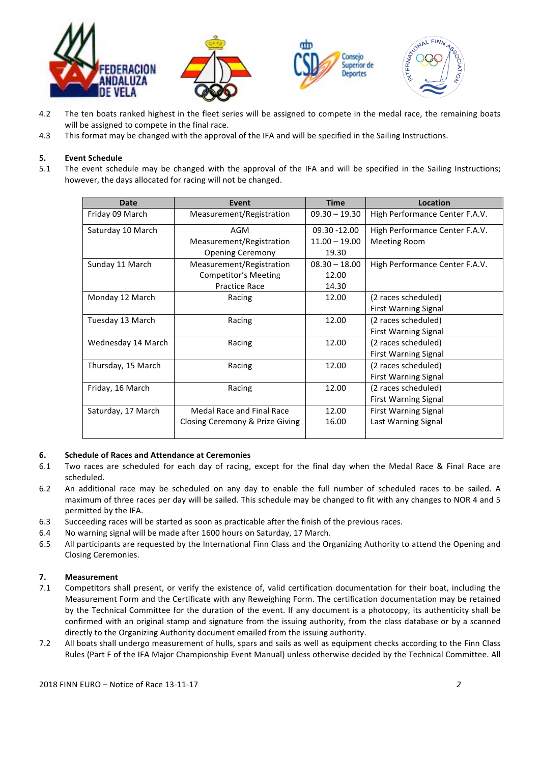

- 4.2 The ten boats ranked highest in the fleet series will be assigned to compete in the medal race, the remaining boats will be assigned to compete in the final race.
- 4.3 This format may be changed with the approval of the IFA and will be specified in the Sailing Instructions.

# **5. Event Schedule**

5.1 The event schedule may be changed with the approval of the IFA and will be specified in the Sailing Instructions; however, the days allocated for racing will not be changed.

| Date               | Event                           | <b>Time</b>     | Location                       |
|--------------------|---------------------------------|-----------------|--------------------------------|
| Friday 09 March    | Measurement/Registration        | $09.30 - 19.30$ | High Performance Center F.A.V. |
| Saturday 10 March  | AGM                             | 09.30 - 12.00   | High Performance Center F.A.V. |
|                    | Measurement/Registration        | $11.00 - 19.00$ | <b>Meeting Room</b>            |
|                    | <b>Opening Ceremony</b>         | 19.30           |                                |
| Sunday 11 March    | Measurement/Registration        | $08.30 - 18.00$ | High Performance Center F.A.V. |
|                    | Competitor's Meeting            | 12.00           |                                |
|                    | <b>Practice Race</b>            | 14.30           |                                |
| Monday 12 March    | Racing                          | 12.00           | (2 races scheduled)            |
|                    |                                 |                 | <b>First Warning Signal</b>    |
| Tuesday 13 March   | Racing                          | 12.00           | (2 races scheduled)            |
|                    |                                 |                 | <b>First Warning Signal</b>    |
| Wednesday 14 March | Racing                          | 12.00           | (2 races scheduled)            |
|                    |                                 |                 | <b>First Warning Signal</b>    |
| Thursday, 15 March | Racing                          | 12.00           | (2 races scheduled)            |
|                    |                                 |                 | <b>First Warning Signal</b>    |
| Friday, 16 March   | Racing                          | 12.00           | (2 races scheduled)            |
|                    |                                 |                 | <b>First Warning Signal</b>    |
| Saturday, 17 March | Medal Race and Final Race       | 12.00           | <b>First Warning Signal</b>    |
|                    | Closing Ceremony & Prize Giving | 16.00           | Last Warning Signal            |
|                    |                                 |                 |                                |

### **6.** Schedule of Races and Attendance at Ceremonies

- 6.1 Two races are scheduled for each day of racing, except for the final day when the Medal Race & Final Race are scheduled.
- 6.2 An additional race may be scheduled on any day to enable the full number of scheduled races to be sailed. A maximum of three races per day will be sailed. This schedule may be changed to fit with any changes to NOR 4 and 5 permitted by the IFA.
- 6.3 Succeeding races will be started as soon as practicable after the finish of the previous races.
- 6.4 No warning signal will be made after 1600 hours on Saturday, 17 March.
- 6.5 All participants are requested by the International Finn Class and the Organizing Authority to attend the Opening and Closing Ceremonies.

### **7. Measurement**

- 7.1 Competitors shall present, or verify the existence of, valid certification documentation for their boat, including the Measurement Form and the Certificate with any Reweighing Form. The certification documentation may be retained by the Technical Committee for the duration of the event. If any document is a photocopy, its authenticity shall be confirmed with an original stamp and signature from the issuing authority, from the class database or by a scanned directly to the Organizing Authority document emailed from the issuing authority.
- 7.2 All boats shall undergo measurement of hulls, spars and sails as well as equipment checks according to the Finn Class Rules (Part F of the IFA Major Championship Event Manual) unless otherwise decided by the Technical Committee. All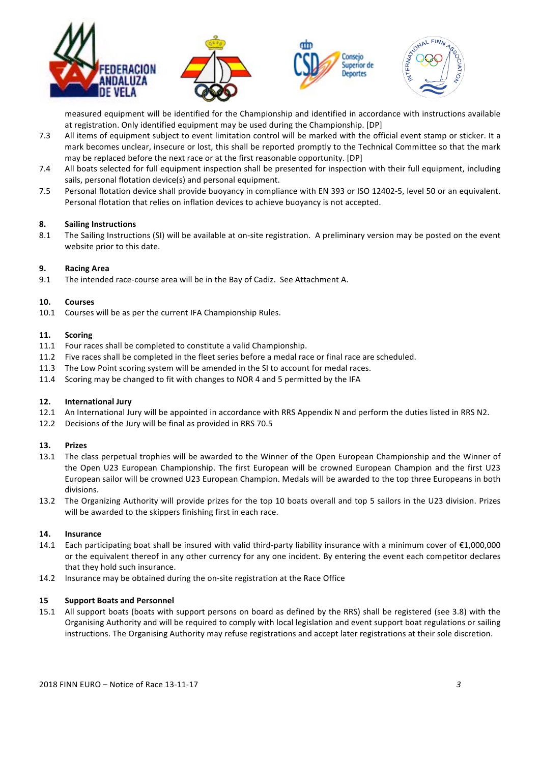

measured equipment will be identified for the Championship and identified in accordance with instructions available at registration. Only identified equipment may be used during the Championship. [DP]

- 7.3 All items of equipment subject to event limitation control will be marked with the official event stamp or sticker. It a mark becomes unclear, insecure or lost, this shall be reported promptly to the Technical Committee so that the mark may be replaced before the next race or at the first reasonable opportunity. [DP]
- 7.4 All boats selected for full equipment inspection shall be presented for inspection with their full equipment, including sails, personal flotation device(s) and personal equipment.
- 7.5 Personal flotation device shall provide buoyancy in compliance with EN 393 or ISO 12402-5, level 50 or an equivalent. Personal flotation that relies on inflation devices to achieve buoyancy is not accepted.

### **8. Sailing Instructions**

8.1 The Sailing Instructions (SI) will be available at on-site registration. A preliminary version may be posted on the event website prior to this date.

#### **9. Racing Area**

9.1 The intended race-course area will be in the Bay of Cadiz. See Attachment A.

#### **10. Courses**

10.1 Courses will be as per the current IFA Championship Rules.

#### **11. Scoring**

- 11.1 Four races shall be completed to constitute a valid Championship.
- 11.2 Five races shall be completed in the fleet series before a medal race or final race are scheduled.
- 11.3 The Low Point scoring system will be amended in the SI to account for medal races.
- 11.4 Scoring may be changed to fit with changes to NOR 4 and 5 permitted by the IFA

### 12. **International Jury**

- 12.1 An International Jury will be appointed in accordance with RRS Appendix N and perform the duties listed in RRS N2.
- 12.2 Decisions of the Jury will be final as provided in RRS 70.5

#### **13. Prizes**

- 13.1 The class perpetual trophies will be awarded to the Winner of the Open European Championship and the Winner of the Open U23 European Championship. The first European will be crowned European Champion and the first U23 European sailor will be crowned U23 European Champion. Medals will be awarded to the top three Europeans in both divisions.
- 13.2 The Organizing Authority will provide prizes for the top 10 boats overall and top 5 sailors in the U23 division. Prizes will be awarded to the skippers finishing first in each race.

### **14. Insurance**

- 14.1 Each participating boat shall be insured with valid third-party liability insurance with a minimum cover of  $\epsilon$ 1,000,000 or the equivalent thereof in any other currency for any one incident. By entering the event each competitor declares that they hold such insurance.
- 14.2 Insurance may be obtained during the on-site registration at the Race Office

#### **15 Support Boats and Personnel**

15.1 All support boats (boats with support persons on board as defined by the RRS) shall be registered (see 3.8) with the Organising Authority and will be required to comply with local legislation and event support boat regulations or sailing instructions. The Organising Authority may refuse registrations and accept later registrations at their sole discretion.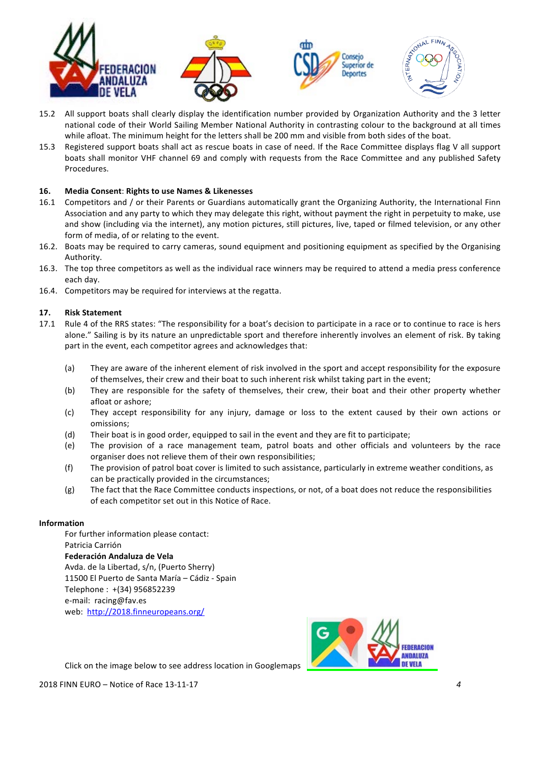

- 15.2 All support boats shall clearly display the identification number provided by Organization Authority and the 3 letter national code of their World Sailing Member National Authority in contrasting colour to the background at all times while afloat. The minimum height for the letters shall be 200 mm and visible from both sides of the boat.
- 15.3 Registered support boats shall act as rescue boats in case of need. If the Race Committee displays flag V all support boats shall monitor VHF channel 69 and comply with requests from the Race Committee and any published Safety Procedures.

# **16. Media Consent**: **Rights to use Names & Likenesses**

- 16.1 Competitors and / or their Parents or Guardians automatically grant the Organizing Authority, the International Finn Association and any party to which they may delegate this right, without payment the right in perpetuity to make, use and show (including via the internet), any motion pictures, still pictures, live, taped or filmed television, or any other form of media, of or relating to the event.
- 16.2. Boats may be required to carry cameras, sound equipment and positioning equipment as specified by the Organising Authority.
- 16.3. The top three competitors as well as the individual race winners may be required to attend a media press conference each day.
- 16.4. Competitors may be required for interviews at the regatta.

# **17. Risk Statement**

- 17.1 Rule 4 of the RRS states: "The responsibility for a boat's decision to participate in a race or to continue to race is hers alone." Sailing is by its nature an unpredictable sport and therefore inherently involves an element of risk. By taking part in the event, each competitor agrees and acknowledges that:
	- (a) They are aware of the inherent element of risk involved in the sport and accept responsibility for the exposure of themselves, their crew and their boat to such inherent risk whilst taking part in the event;
	- (b) They are responsible for the safety of themselves, their crew, their boat and their other property whether afloat or ashore;
	- (c) They accept responsibility for any injury, damage or loss to the extent caused by their own actions or omissions;
	- (d) Their boat is in good order, equipped to sail in the event and they are fit to participate;
	- (e) The provision of a race management team, patrol boats and other officials and volunteers by the race organiser does not relieve them of their own responsibilities;
	- (f) The provision of patrol boat cover is limited to such assistance, particularly in extreme weather conditions, as can be practically provided in the circumstances;
	- (g) The fact that the Race Committee conducts inspections, or not, of a boat does not reduce the responsibilities of each competitor set out in this Notice of Race.

### **Information**

For further information please contact: Patricia Carrión **Federación Andaluza de Vela** Avda. de la Libertad, s/n, (Puerto Sherry) 11500 El Puerto de Santa María - Cádiz - Spain Telephone: +(34) 956852239 e-mail: racing@fav.es web: http://2018.finneuropeans.org/



Click on the image below to see address location in Googlemaps

2018 FINN EURO – Notice of Race 13-11-17 **4** *4*